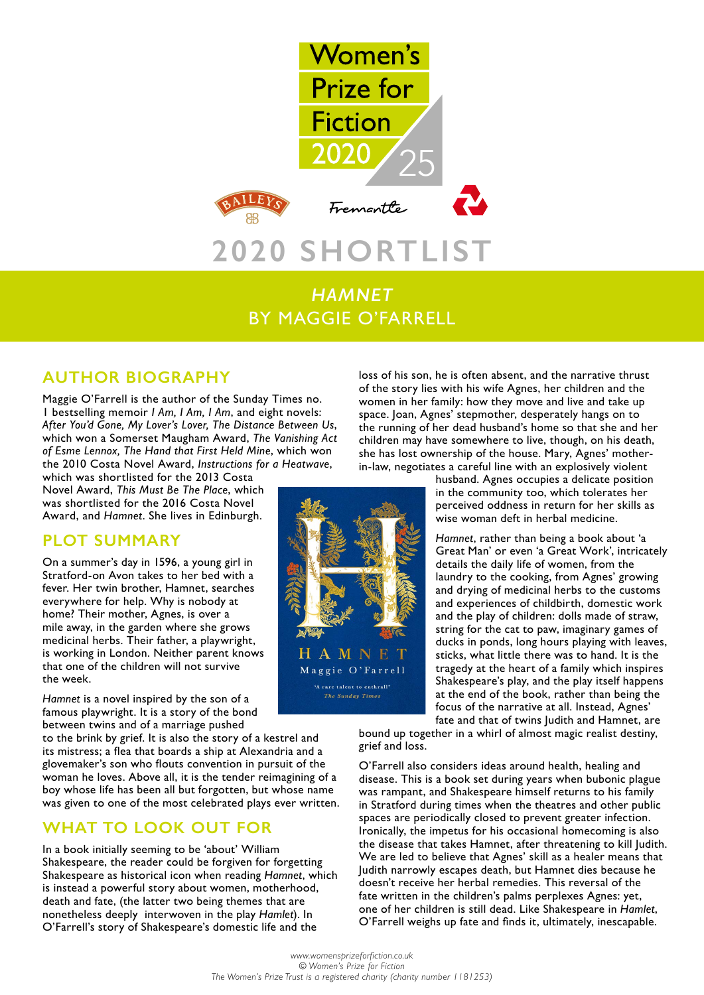

# *HAMNET* BY MAGGIE O'FARRELL

## **AUTHOR BIOGRAPHY**

Maggie O'Farrell is the author of the Sunday Times no. 1 bestselling memoir *I Am, I Am, I Am*, and eight novels: *After You'd Gone, My Lover's Lover, The Distance Between Us*, which won a Somerset Maugham Award, *The Vanishing Act of Esme Lennox, The Hand that First Held Mine*, which won the 2010 Costa Novel Award, *Instructions for a Heatwave*,

which was shortlisted for the 2013 Costa Novel Award, *This Must Be The Place*, which was shortlisted for the 2016 Costa Novel Award, and *Hamnet*. She lives in Edinburgh.

## **PLOT SUMMARY**

On a summer's day in 1596, a young girl in Stratford-on Avon takes to her bed with a fever. Her twin brother, Hamnet, searches everywhere for help. Why is nobody at home? Their mother, Agnes, is over a mile away, in the garden where she grows medicinal herbs. Their father, a playwright, is working in London. Neither parent knows that one of the children will not survive the week.

*Hamnet* is a novel inspired by the son of a famous playwright. It is a story of the bond between twins and of a marriage pushed

to the brink by grief. It is also the story of a kestrel and its mistress; a flea that boards a ship at Alexandria and a glovemaker's son who flouts convention in pursuit of the woman he loves. Above all, it is the tender reimagining of a boy whose life has been all but forgotten, but whose name was given to one of the most celebrated plays ever written.

## **WHAT TO LOOK OUT FOR**

In a book initially seeming to be 'about' William Shakespeare, the reader could be forgiven for forgetting Shakespeare as historical icon when reading *Hamnet*, which is instead a powerful story about women, motherhood, death and fate, (the latter two being themes that are nonetheless deeply interwoven in the play *Hamlet*). In O'Farrell's story of Shakespeare's domestic life and the

loss of his son, he is often absent, and the narrative thrust of the story lies with his wife Agnes, her children and the women in her family: how they move and live and take up space. Joan, Agnes' stepmother, desperately hangs on to the running of her dead husband's home so that she and her children may have somewhere to live, though, on his death, she has lost ownership of the house. Mary, Agnes' motherin-law, negotiates a careful line with an explosively violent

husband. Agnes occupies a delicate position in the community too, which tolerates her perceived oddness in return for her skills as wise woman deft in herbal medicine.

*Hamnet*, rather than being a book about 'a Great Man' or even 'a Great Work', intricately details the daily life of women, from the laundry to the cooking, from Agnes' growing and drying of medicinal herbs to the customs and experiences of childbirth, domestic work and the play of children: dolls made of straw, string for the cat to paw, imaginary games of ducks in ponds, long hours playing with leaves, sticks, what little there was to hand. It is the tragedy at the heart of a family which inspires Shakespeare's play, and the play itself happens at the end of the book, rather than being the focus of the narrative at all. Instead, Agnes' fate and that of twins Judith and Hamnet, are

bound up together in a whirl of almost magic realist destiny, grief and loss.

O'Farrell also considers ideas around health, healing and disease. This is a book set during years when bubonic plague was rampant, and Shakespeare himself returns to his family in Stratford during times when the theatres and other public spaces are periodically closed to prevent greater infection. Ironically, the impetus for his occasional homecoming is also the disease that takes Hamnet, after threatening to kill Judith. We are led to believe that Agnes' skill as a healer means that Judith narrowly escapes death, but Hamnet dies because he doesn't receive her herbal remedies. This reversal of the fate written in the children's palms perplexes Agnes: yet, one of her children is still dead. Like Shakespeare in *Hamlet*, O'Farrell weighs up fate and finds it, ultimately, inescapable.